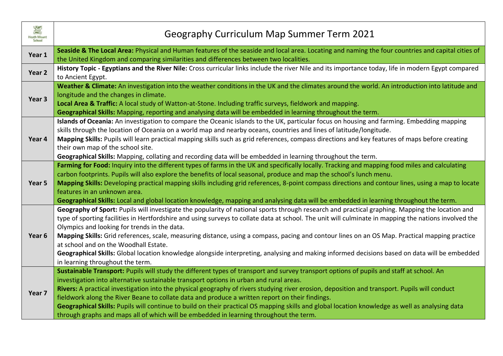| 签<br><b>Heath Mount</b><br><b>School</b> | Geography Curriculum Map Summer Term 2021                                                                                                                                                                                                                                                                                                                                                                                                                                                                                                                                                                                                                                                                                                |
|------------------------------------------|------------------------------------------------------------------------------------------------------------------------------------------------------------------------------------------------------------------------------------------------------------------------------------------------------------------------------------------------------------------------------------------------------------------------------------------------------------------------------------------------------------------------------------------------------------------------------------------------------------------------------------------------------------------------------------------------------------------------------------------|
| Year 1                                   | Seaside & The Local Area: Physical and Human features of the seaside and local area. Locating and naming the four countries and capital cities of<br>the United Kingdom and comparing similarities and differences between two localities.                                                                                                                                                                                                                                                                                                                                                                                                                                                                                               |
| Year <sub>2</sub>                        | History Topic - Egyptians and the River Nile: Cross curricular links include the river Nile and its importance today, life in modern Egypt compared<br>to Ancient Egypt.                                                                                                                                                                                                                                                                                                                                                                                                                                                                                                                                                                 |
| Year 3                                   | Weather & Climate: An investigation into the weather conditions in the UK and the climates around the world. An introduction into latitude and<br>longitude and the changes in climate.<br>Local Area & Traffic: A local study of Watton-at-Stone. Including traffic surveys, fieldwork and mapping.<br>Geographical Skills: Mapping, reporting and analysing data will be embedded in learning throughout the term.                                                                                                                                                                                                                                                                                                                     |
| Year 4                                   | Islands of Oceania: An investigation to compare the Oceanic islands to the UK, particular focus on housing and farming. Embedding mapping<br>skills through the location of Oceania on a world map and nearby oceans, countries and lines of latitude/longitude.<br>Mapping Skills: Pupils will learn practical mapping skills such as grid references, compass directions and key features of maps before creating<br>their own map of the school site.<br>Geographical Skills: Mapping, collating and recording data will be embedded in learning throughout the term.                                                                                                                                                                 |
| Year 5                                   | Farming for Food: Inquiry into the different types of farms in the UK and specifically locally. Tracking and mapping food miles and calculating<br>carbon footprints. Pupils will also explore the benefits of local seasonal, produce and map the school's lunch menu.<br>Mapping Skills: Developing practical mapping skills including grid references, 8-point compass directions and contour lines, using a map to locate<br>features in an unknown area.<br>Geographical Skills: Local and global location knowledge, mapping and analysing data will be embedded in learning throughout the term.                                                                                                                                  |
| Year 6                                   | Geography of Sport: Pupils will investigate the popularity of national sports through research and practical graphing. Mapping the location and<br>type of sporting facilities in Hertfordshire and using surveys to collate data at school. The unit will culminate in mapping the nations involved the<br>Olympics and looking for trends in the data.<br>Mapping Skills: Grid references, scale, measuring distance, using a compass, pacing and contour lines on an OS Map. Practical mapping practice<br>at school and on the Woodhall Estate.<br>Geographical Skills: Global location knowledge alongside interpreting, analysing and making informed decisions based on data will be embedded<br>in learning throughout the term. |
| Year 7                                   | Sustainable Transport: Pupils will study the different types of transport and survey transport options of pupils and staff at school. An<br>investigation into alternative sustainable transport options in urban and rural areas.<br>Rivers: A practical investigation into the physical geography of rivers studying river erosion, deposition and transport. Pupils will conduct<br>fieldwork along the River Beane to collate data and produce a written report on their findings.<br>Geographical Skills: Pupils will continue to build on their practical OS mapping skills and global location knowledge as well as analysing data<br>through graphs and maps all of which will be embedded in learning throughout the term.      |